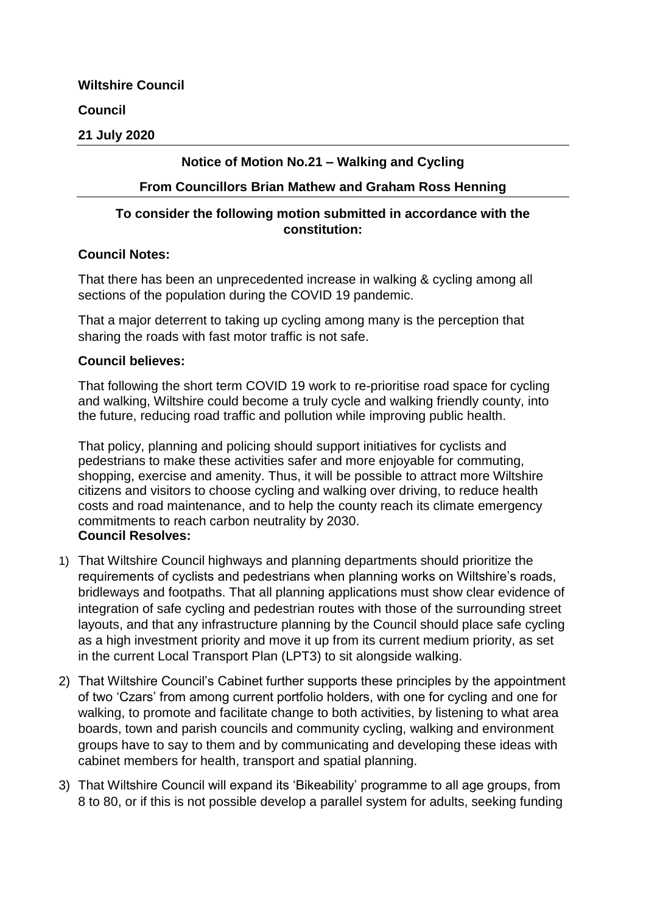**Wiltshire Council**

## **Council**

### **21 July 2020**

# **Notice of Motion No.21 – Walking and Cycling**

#### **From Councillors Brian Mathew and Graham Ross Henning**

### **To consider the following motion submitted in accordance with the constitution:**

#### **Council Notes:**

That there has been an unprecedented increase in walking & cycling among all sections of the population during the COVID 19 pandemic.

That a major deterrent to taking up cycling among many is the perception that sharing the roads with fast motor traffic is not safe.

#### **Council believes:**

That following the short term COVID 19 work to re-prioritise road space for cycling and walking, Wiltshire could become a truly cycle and walking friendly county, into the future, reducing road traffic and pollution while improving public health.

That policy, planning and policing should support initiatives for cyclists and pedestrians to make these activities safer and more enjoyable for commuting, shopping, exercise and amenity. Thus, it will be possible to attract more Wiltshire citizens and visitors to choose cycling and walking over driving, to reduce health costs and road maintenance, and to help the county reach its climate emergency commitments to reach carbon neutrality by 2030. **Council Resolves:**

- 1) That Wiltshire Council highways and planning departments should prioritize the requirements of cyclists and pedestrians when planning works on Wiltshire's roads, bridleways and footpaths. That all planning applications must show clear evidence of integration of safe cycling and pedestrian routes with those of the surrounding street layouts, and that any infrastructure planning by the Council should place safe cycling as a high investment priority and move it up from its current medium priority, as set in the current Local Transport Plan (LPT3) to sit alongside walking.
- 2) That Wiltshire Council's Cabinet further supports these principles by the appointment of two 'Czars' from among current portfolio holders, with one for cycling and one for walking, to promote and facilitate change to both activities, by listening to what area boards, town and parish councils and community cycling, walking and environment groups have to say to them and by communicating and developing these ideas with cabinet members for health, transport and spatial planning.
- 3) That Wiltshire Council will expand its 'Bikeability' programme to all age groups, from 8 to 80, or if this is not possible develop a parallel system for adults, seeking funding